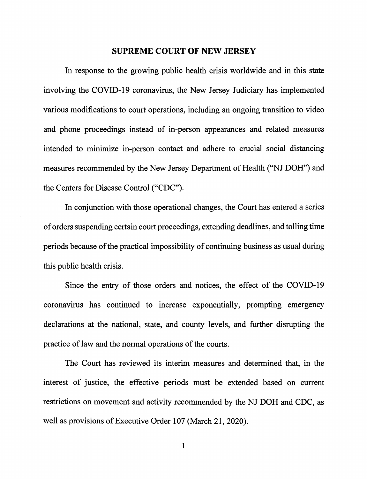#### **SUPREME COURT OF NEW JERSEY**

In response to the growing public health crisis worldwide and in this state involving the COVID-19 coronavirus, the New Jersey Judiciary has implemented various modifications to court operations, including an ongoing transition to video and phone proceedings instead of in-person appearances and related measures intended to minimize in-person contact and adhere to crucial social distancing measures recommended by the New Jersey Department of Health ("NJ DOH") and the Centers for Disease Control ("CDC").

In conjunction with those operational changes, the Court has entered a series of orders suspending certain court proceedings, extending deadlines, and tolling time periods because of the practical impossibility of continuing business as usual during this public health crisis.

Since the entry of those orders and notices, the effect of the COVID-19 corona virus has continued to increase exponentially, prompting emergency declarations at the national, state, and county levels, and further disrupting the practice of law and the normal operations of the courts.

The Court has reviewed its interim measures and determined that, in the interest of justice, the effective periods must be extended based on current restrictions on movement and activity recommended by the NJ DOH and CDC, as well as provisions of Executive Order 107 (March 21, 2020).

1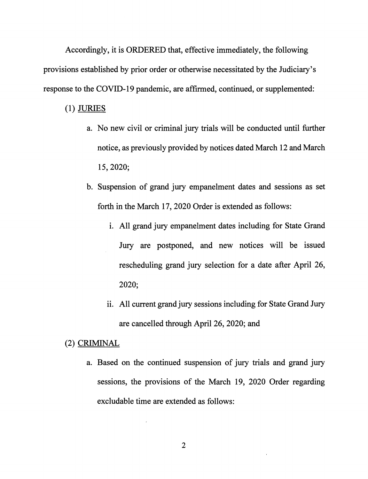Accordingly, it is ORDERED that, effective immediately, the following provisions established by prior order or otherwise necessitated by the Judiciary's response to the COVID-19 pandemic, are affirmed, continued, or supplemented:

### (1) JURIES

- a. No new civil or criminal jury trials will be conducted until further notice, as previously provided by notices dated March 12 and March 15, 2020;
- b. Suspension of grand jury empanelment dates and sessions as set forth in the March 17, 2020 Order is extended as follows:
	- i. All grand jury empanelment dates including for State Grand Jury are postponed, and new notices will be issued rescheduling grand jury selection for a date after April 26, 2020;
	- i. All current grand jury sessions including for State Grand Jury are cancelled through April 26, 2020; and

# (2) CRIMINAL

a. Based on the continued suspension of jury trials and grand jury sessions, the provisions of the March 19, 2020 Order regarding excludable time are extended as follows: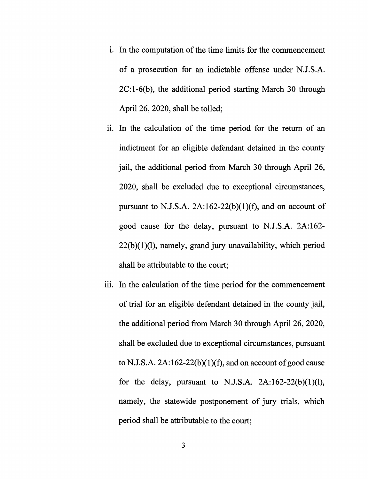- 1. In the computation of the time limits for the commencement of a prosecution for an indictable offense under N.J.S.A. 2C:1-6(b), the additional period starting March 30 through April 26, 2020, shall be tolled;
- ii. In the calculation of the time period for the return of an indictment for an eligible defendant detained in the county jail, the additional period from March 30 through April 26, 2020, shall be excluded due to exceptional circumstances, pursuant to N.J.S.A.  $2A:162-22(b)(1)(f)$ , and on account of good cause for the delay, pursuant to N.J.S.A. 2A:162-  $22(b)(1)(l)$ , namely, grand jury unavailability, which period shall be attributable to the court;
- iii. In the calculation of the time period for the commencement of trial for an eligible defendant detained in the county jail, the additional period from March 30 through April 26, 2020, shall be excluded due to exceptional circumstances, pursuant to N.J.S.A.  $2A:162-22(b)(1)(f)$ , and on account of good cause for the delay, pursuant to N.J.S.A.  $2A:162-22(b)(1)(l)$ , namely, the statewide postponement of jury trials, which period shall be attributable to the court;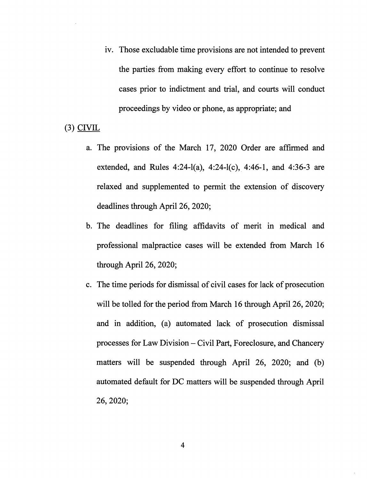iv. Those excludable time provisions are not intended to prevent the parties from making every effort to continue to resolve cases prior to indictment and trial, and courts will conduct proceedings by video or phone, as appropriate; and

## (3) CIVIL

- a. The provisions of the March 17, 2020 Order are affirmed and extended, and Rules 4:24-l(a), 4:24-l(c), 4:46-1, and 4:36-3 are relaxed and supplemented to permit the extension of discovery deadlines through April 26, 2020;
- b. The deadlines for filing affidavits of merit in medical and professional malpractice cases will be extended from March 16 through April 26, 2020;
- c. The time periods for dismissal of civil cases for lack of prosecution will be tolled for the period from March 16 through April 26, 2020; and in addition, (a) automated lack of prosecution dismissal processes for Law Division - Civil Part, Foreclosure, and Chancery matters will be suspended through April 26, 2020; and (b) automated default for DC matters will be suspended through April 26, 2020;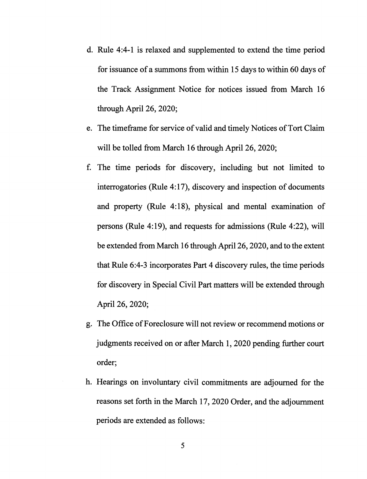- d. Rule 4:4-1 is relaxed and supplemented to extend the time period for issuance of a summons from within 15 days to within 60 days of the Track Assignment Notice for notices issued from March 16 through April 26, 2020;
- e. The timeframe for service of valid and timely Notices of Tort Claim will be tolled from March 16 through April 26, 2020;
- f. The time periods for discovery, including but not limited to interrogatories (Rule  $4:17$ ), discovery and inspection of documents and property (Rule 4:18), physical and mental examination of persons (Rule 4:19), and requests for admissions (Rule 4:22), will be extended from March 16 through April 26, 2020, and to the extent that Rule 6:4-3 incorporates Part 4 discovery rules, the time periods for discovery in Special Civil Part matters will be extended through April 26, 2020;
- g. The Office of Foreclosure will not review or recommend motions or judgments received on or after March 1, 2020 pending further court order;
- h. Hearings on involuntary civil commitments are adjourned for the reasons set forth in the March 17, 2020 Order, and the adjournment periods are extended as follows: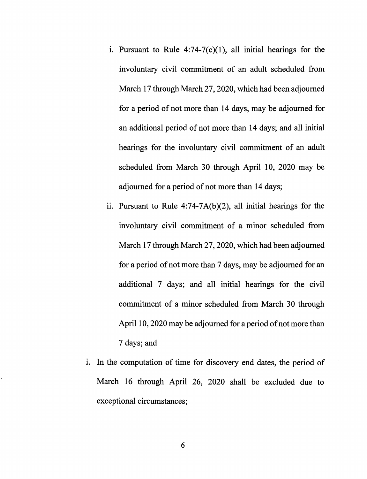- i. Pursuant to Rule  $4:74-7(c)(1)$ , all initial hearings for the involuntary civil commitment of an adult scheduled from March 17 through March 27, 2020, which had been adjourned for a period of not more than 14 days, may be adjourned for an additional period of not more than 14 days; and all initial hearings for the involuntary civil commitment of an adult scheduled from March 30 through April 10, 2020 may be adjourned for a period of not more than 14 days;
- ii. Pursuant to Rule  $4:74-7A(b)(2)$ , all initial hearings for the involuntary civil commitment of a minor scheduled from March 17 through March 27, 2020, which had been adjourned for a period of not more than 7 days, may be adjourned for an additional 7 days; and all initial hearings for the civil commitment of a minor scheduled from March 30 through April 10, 2020 may be adjourned for a period of not more than 7 days; and
- i. In the computation of time for discovery end dates, the period of March 16 through April 26, 2020 shall be excluded due to exceptional circumstances;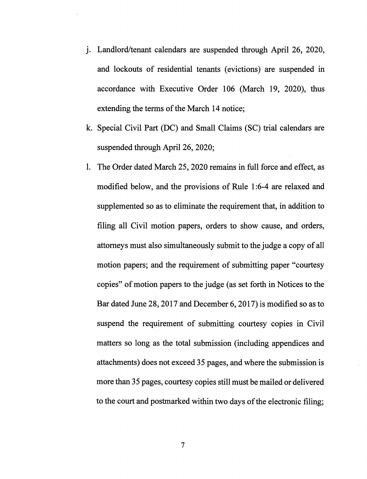- J. Landlord/tenant calendars are suspended through April 26, 2020, and lockouts of residential tenants (evictions) are suspended in accordance with Executive Order 106 (March 19, 2020), thus extending the terms of the March 14 notice;
- k. Special Civil Part (DC) and Small Claims (SC) trial calendars are suspended through April 26, 2020;
- 1. The Order dated March 25, 2020 remains in full force and effect, as modified below, and the provisions of Rule 1 :6-4 are relaxed and supplemented so as to eliminate the requirement that, in addition to filing all Civil motion papers, orders to show cause, and orders, attorneys must also simultaneously submit to the judge a copy of all motion papers; and the requirement of submitting paper "courtesy copies" of motion papers to the judge (as set forth in Notices to the Bar dated June 28, 2017 and December 6, 2017) is modified so as to suspend the requirement of submitting courtesy copies in Civil matters so long as the total submission (including appendices and attachments) does not exceed 35 pages, and where the submission is more than 35 pages, courtesy copies still must be mailed or delivered to the court and postmarked within two days of the electronic filing;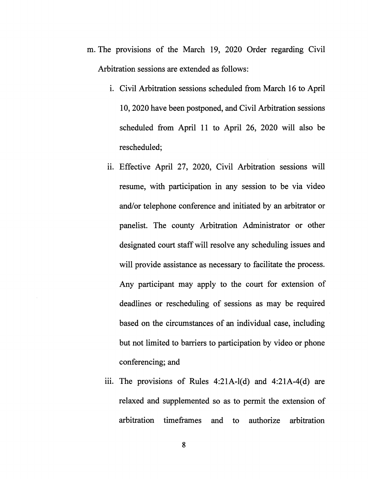- m. The provisions of the March 19, 2020 Order regarding Civil Arbitration sessions are extended as follows:
	- 1. Civil Arbitration sessions scheduled from March 16 to April 10, 2020 have been postponed, and Civil Arbitration sessions scheduled from April 11 to April 26, 2020 will also be rescheduled;
	- ii. Effective April 27, 2020, Civil Arbitration sessions will resume, with participation in any session to be via video and/or telephone conference and initiated by an arbitrator or panelist. The county Arbitration Administrator or other designated court staff will resolve any scheduling issues and will provide assistance as necessary to facilitate the process. Any participant may apply to the court for extension of deadlines or rescheduling of sessions as may be required based on the circumstances of an individual case, including but not limited to barriers to participation by video or phone conferencing; and
	- iii. The provisions of Rules  $4:21A-1(d)$  and  $4:21A-4(d)$  are relaxed and supplemented so as to permit the extension of arbitration timeframes and to authorize arbitration

8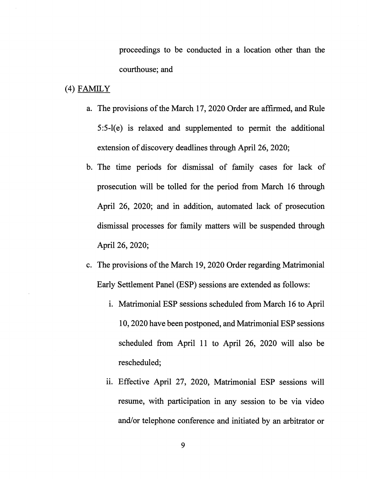proceedings to be conducted in a location other than the courthouse; and

### (4) FAMILY

- a. The provisions of the March 17, 2020 Order are affirmed, and Rule 5:5-l(e) is relaxed and supplemented to permit the additional extension of discovery deadlines through April 26, 2020;
- b. The time periods for dismissal of family cases for lack of prosecution will be tolled for the period from March 16 through April 26, 2020; and in addition, automated lack of prosecution dismissal processes for family matters will be suspended through April 26, 2020;
- c. The provisions of the March 19, 2020 Order regarding Matrimonial Early Settlement Panel (ESP) sessions are extended as follows:
	- i. Matrimonial ESP sessions scheduled from March 16 to April 10, 2020 have been postponed, and Matrimonial ESP sessions scheduled from April 11 to April 26, 2020 will also be rescheduled;
	- ii. Effective April 27, 2020, Matrimonial ESP sessions will resume, with participation in any session to be via video and/or telephone conference and initiated by an arbitrator or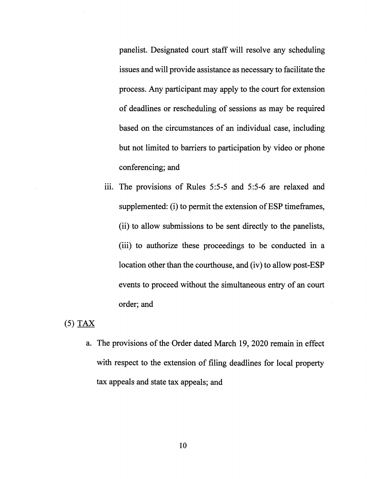panelist. Designated court staff will resolve any scheduling issues and will provide assistance as necessary to facilitate the process. Any participant may apply to the court for extension of deadlines or rescheduling of sessions as may be required based on the circumstances of an individual case, including but not limited to barriers to participation by video or phone conferencing; and

iii. The provisions of Rules 5:5-5 and 5:5-6 are relaxed and supplemented: (i) to permit the extension of ESP time frames, (ii) to allow submissions to be sent directly to the panelists, (iii) to authorize these proceedings to be conducted in a location other than the courthouse, and (iv) to allow post-ESP events to proceed without the simultaneous entry of an court order; and

## (5) TAX

a. The provisions of the Order dated March 19, 2020 remain in effect with respect to the extension of filing deadlines for local property tax appeals and state tax appeals; and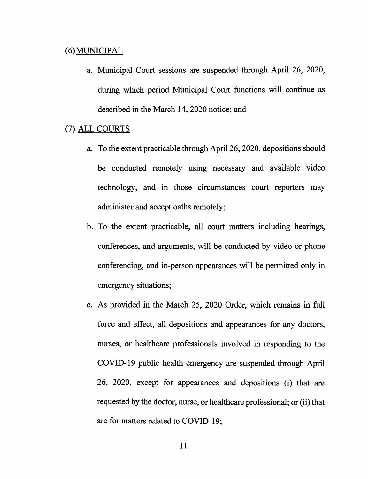### ( 6) MUNICIPAL

a. Municipal Court sessions are suspended through April 26, 2020, during which period Municipal Court functions will continue as described in the March 14, 2020 notice; and

# (7) ALL COURTS

- a. To the extent practicable through April 26, 2020, depositions should be conducted remotely using necessary and available video technology, and in those circumstances court reporters may administer and accept oaths remotely;
- b. To the extent practicable, all court matters including hearings, conferences, and arguments, will be conducted by video or phone conferencing, and in-person appearances will be permitted only in emergency situations;
- c. As provided in the March 25, 2020 Order, which remains in full force and effect, all depositions and appearances for any doctors, nurses, or healthcare professionals involved in responding to the COVID-19 public health emergency are suspended through April 26, 2020, except for appearances and depositions (i) that are requested by the doctor, nurse, or healthcare professional; or (ii) that are for matters related to COVID-19;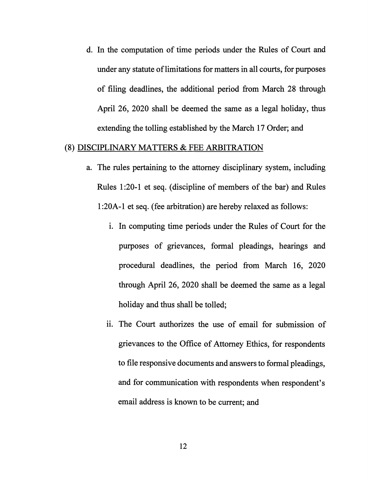d. In the computation of time periods under the Rules of Court and under any statute of limitations for matters in all courts, for purposes of filing deadlines, the additional period from March 28 through April 26, 2020 shall be deemed the same as a legal holiday, thus extending the tolling established by the March 17 Order; and

### (8) DISCIPLINARY MATTERS & FEE ARBITRATION

- a. The rules pertaining to the attorney disciplinary system, including Rules 1 :20-1 et seq. ( discipline of members of the bar) and Rules l:20A-1 et seq. (fee arbitration) are hereby relaxed as follows:
	- 1. In computing time periods under the Rules of Court for the purposes of grievances, formal pleadings, hearings and procedural deadlines, the period from March 16, 2020 through April 26, 2020 shall be deemed the same as a legal holiday and thus shall be tolled;
	- ii. The Court authorizes the use of email for submission of grievances to the Office of Attorney Ethics, for respondents to file responsive documents and answers to formal pleadings, and for communication with respondents when respondent's email address is known to be current; and